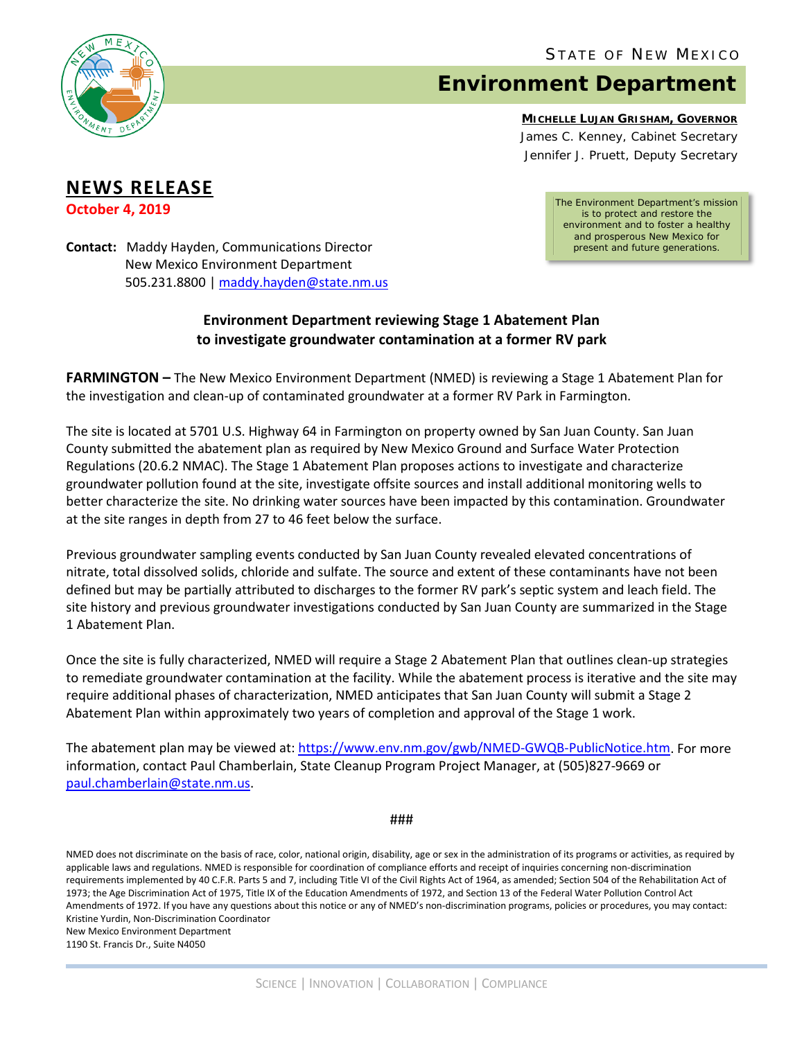

## **Environment Department**

**MICHELLE LUJAN GRISHAM, GOVERNOR**

James C. Kenney, *Cabinet Secretary* Jennifer J. Pruett, *Deputy Secretary*

## **NEWS RELEASE**

**October 4, 2019**

*The Environment Department's mission is to protect and restore the environment and to foster a healthy and prosperous New Mexico for present and future generations.*

**Contact:** Maddy Hayden, Communications Director New Mexico Environment Department 505.231.8800 [| maddy.hayden@state.nm.us](mailto:maddy.hayden@state.nm.us)

## **Environment Department reviewing Stage 1 Abatement Plan to investigate groundwater contamination at a former RV park**

**FARMINGTON –** The New Mexico Environment Department (NMED) is reviewing a Stage 1 Abatement Plan for the investigation and clean-up of contaminated groundwater at a former RV Park in Farmington.

The site is located at 5701 U.S. Highway 64 in Farmington on property owned by San Juan County. San Juan County submitted the abatement plan as required by New Mexico Ground and Surface Water Protection Regulations (20.6.2 NMAC). The Stage 1 Abatement Plan proposes actions to investigate and characterize groundwater pollution found at the site, investigate offsite sources and install additional monitoring wells to better characterize the site. No drinking water sources have been impacted by this contamination. Groundwater at the site ranges in depth from 27 to 46 feet below the surface.

Previous groundwater sampling events conducted by San Juan County revealed elevated concentrations of nitrate, total dissolved solids, chloride and sulfate. The source and extent of these contaminants have not been defined but may be partially attributed to discharges to the former RV park's septic system and leach field. The site history and previous groundwater investigations conducted by San Juan County are summarized in the Stage 1 Abatement Plan.

Once the site is fully characterized, NMED will require a Stage 2 Abatement Plan that outlines clean-up strategies to remediate groundwater contamination at the facility. While the abatement process is iterative and the site may require additional phases of characterization, NMED anticipates that San Juan County will submit a Stage 2 Abatement Plan within approximately two years of completion and approval of the Stage 1 work.

The abatement plan may be viewed at: [https://www.env.nm.gov/gwb/NMED-GWQB-PublicNotice.htm.](https://www.env.nm.gov/gwb/NMED-GWQB-PublicNotice.htm) For more information, contact Paul Chamberlain, State Cleanup Program Project Manager, at (505)827-9669 or paul.chamberlain@state.nm.us.

###

NMED does not discriminate on the basis of race, color, national origin, disability, age or sex in the administration of its programs or activities, as required by applicable laws and regulations. NMED is responsible for coordination of compliance efforts and receipt of inquiries concerning non-discrimination requirements implemented by 40 C.F.R. Parts 5 and 7, including Title VI of the Civil Rights Act of 1964, as amended; Section 504 of the Rehabilitation Act of 1973; the Age Discrimination Act of 1975, Title IX of the Education Amendments of 1972, and Section 13 of the Federal Water Pollution Control Act Amendments of 1972. If you have any questions about this notice or any of NMED's non-discrimination programs, policies or procedures, you may contact: Kristine Yurdin, Non-Discrimination Coordinator New Mexico Environment Department 1190 St. Francis Dr., Suite N4050